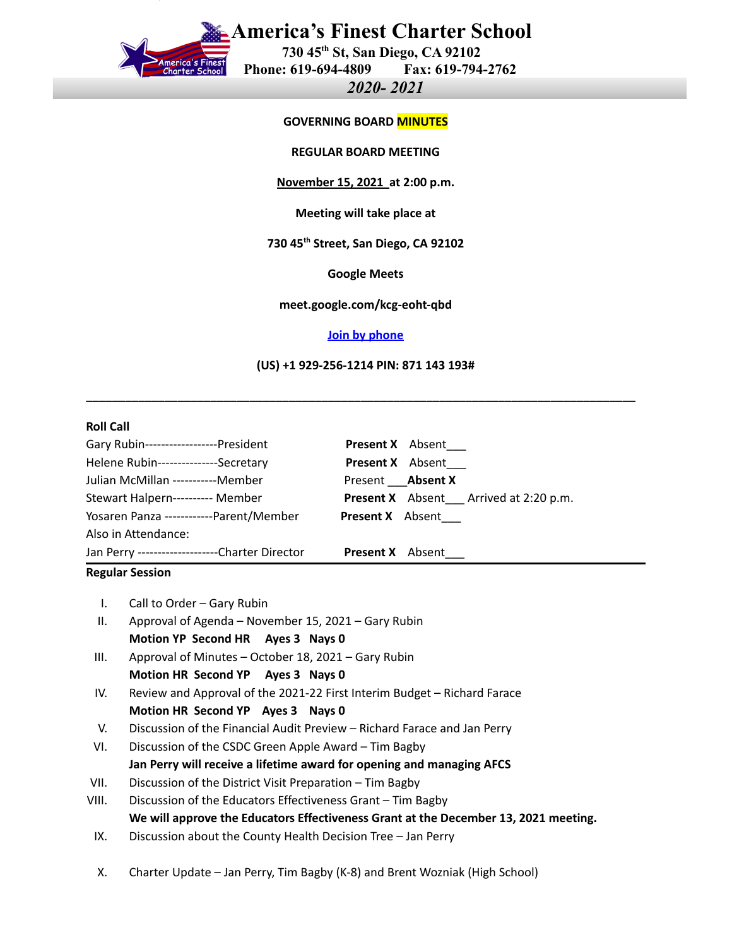

# **America's Finest Charter School**

**730 45th St, San Diego, CA 92102 Phone: 619-694-4809 Fax: 619-794-2762**

*2020- 2021*

#### **GOVERNING BOARD MINUTES**

**REGULAR BOARD MEETING**

**November 15, 2021 at 2:00 p.m.**

**Meeting will take place at**

**730 45 th Street, San Diego, CA 92102**

**Google Meets**

**meet.google.com/kcg-eoht-qbd**

### **Join by [phone](tel:+1-929-256-1214)**

**(US) +1 929-256-1214 PIN: 871 143 193#**

**\_\_\_\_\_\_\_\_\_\_\_\_\_\_\_\_\_\_\_\_\_\_\_\_\_\_\_\_\_\_\_\_\_\_\_\_\_\_\_\_\_\_\_\_\_\_\_\_\_\_\_\_\_\_\_\_\_\_\_\_\_\_\_\_\_\_\_\_\_\_\_\_\_\_\_\_\_\_\_\_\_\_\_\_**

#### **Roll Call**

| Gary Rubin------------------President           | <b>Present X</b> Absent                      |
|-------------------------------------------------|----------------------------------------------|
| Helene Rubin---------------Secretary            | <b>Present X</b> Absent                      |
| Julian McMillan -----------Member               | Present <b>Absent X</b>                      |
| Stewart Halpern---------- Member                | <b>Present X</b> Absent Arrived at 2:20 p.m. |
| Yosaren Panza ------------Parent/Member         | <b>Present X</b> Absent                      |
| Also in Attendance:                             |                                              |
| Jan Perry ---------------------Charter Director | <b>Present X</b> Absent                      |

#### **Regular Session**

|  | Call to Order - Gary Rubin |
|--|----------------------------|
|--|----------------------------|

- II. Approval of Agenda November 15, 2021 Gary Rubin **Motion YP Second HR Ayes 3 Nays 0**
- III. Approval of Minutes October 18, 2021 Gary Rubin **Motion HR Second YP Ayes 3 Nays 0**
- IV. Review and Approval of the 2021-22 First Interim Budget Richard Farace **Motion HR Second YP Ayes 3 Nays 0**
- V. Discussion of the Financial Audit Preview Richard Farace and Jan Perry
- VI. Discussion of the CSDC Green Apple Award Tim Bagby **Jan Perry will receive a lifetime award for opening and managing AFCS**
- VII. Discussion of the District Visit Preparation Tim Bagby
- VIII. Discussion of the Educators Effectiveness Grant Tim Bagby **We will approve the Educators Effectiveness Grant at the December 13, 2021 meeting.**
- IX. Discussion about the County Health Decision Tree Jan Perry
- X. Charter Update Jan Perry, Tim Bagby (K-8) and Brent Wozniak (High School)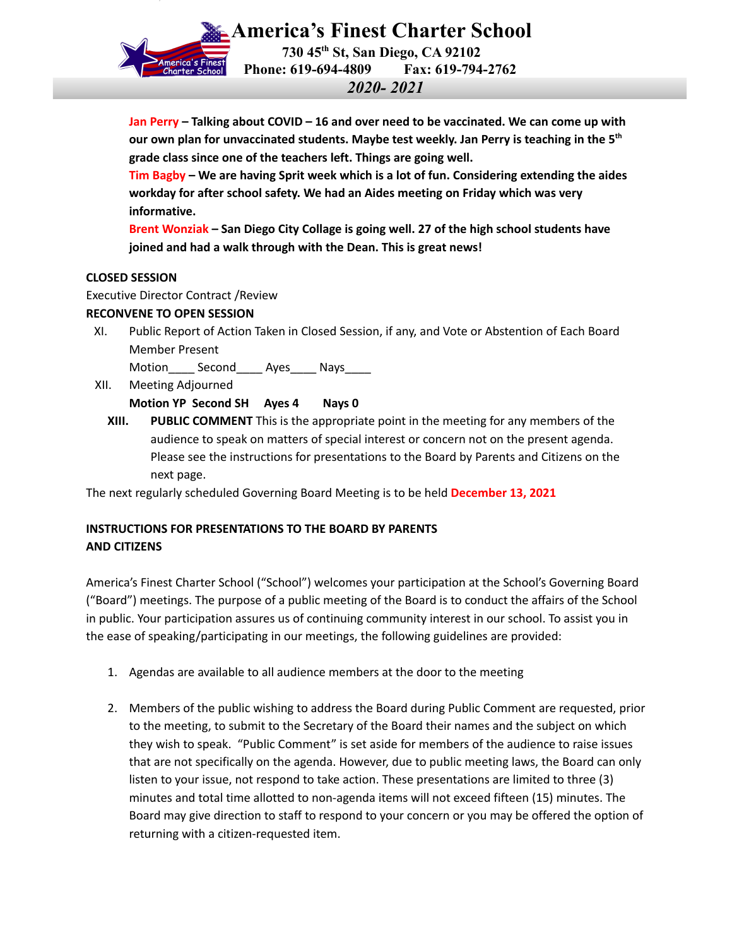

**America's Finest Charter School 730 45th St, San Diego, CA 92102 Phone: 619-694-4809 Fax: 619-794-2762** *2020- 2021*

**Jan Perry – Talking about COVID – 16 and over need to be vaccinated. We can come up with our own plan for unvaccinated students. Maybe test weekly. Jan Perry is teaching in the 5 th grade class since one of the teachers left. Things are going well.**

**Tim Bagby – We are having Sprit week which is a lot of fun. Considering extending the aides workday for after school safety. We had an Aides meeting on Friday which was very informative.**

**Brent Wonziak – San Diego City Collage is going well. 27 of the high school students have joined and had a walk through with the Dean. This is great news!**

# **CLOSED SESSION**

Executive Director Contract /Review

# **RECONVENE TO OPEN SESSION**

XI. Public Report of Action Taken in Closed Session, if any, and Vote or Abstention of Each Board Member Present

Motion Second Ayes Nays

- XII. Meeting Adjourned **Motion YP Second SH Ayes 4 Nays 0**
	- **XIII. PUBLIC COMMENT** This is the appropriate point in the meeting for any members of the audience to speak on matters of special interest or concern not on the present agenda. Please see the instructions for presentations to the Board by Parents and Citizens on the next page.

The next regularly scheduled Governing Board Meeting is to be held **December 13, 2021**

# **INSTRUCTIONS FOR PRESENTATIONS TO THE BOARD BY PARENTS AND CITIZENS**

America's Finest Charter School ("School") welcomes your participation at the School's Governing Board ("Board") meetings. The purpose of a public meeting of the Board is to conduct the affairs of the School in public. Your participation assures us of continuing community interest in our school. To assist you in the ease of speaking/participating in our meetings, the following guidelines are provided:

- 1. Agendas are available to all audience members at the door to the meeting
- 2. Members of the public wishing to address the Board during Public Comment are requested, prior to the meeting, to submit to the Secretary of the Board their names and the subject on which they wish to speak. "Public Comment" is set aside for members of the audience to raise issues that are not specifically on the agenda. However, due to public meeting laws, the Board can only listen to your issue, not respond to take action. These presentations are limited to three (3) minutes and total time allotted to non-agenda items will not exceed fifteen (15) minutes. The Board may give direction to staff to respond to your concern or you may be offered the option of returning with a citizen-requested item.